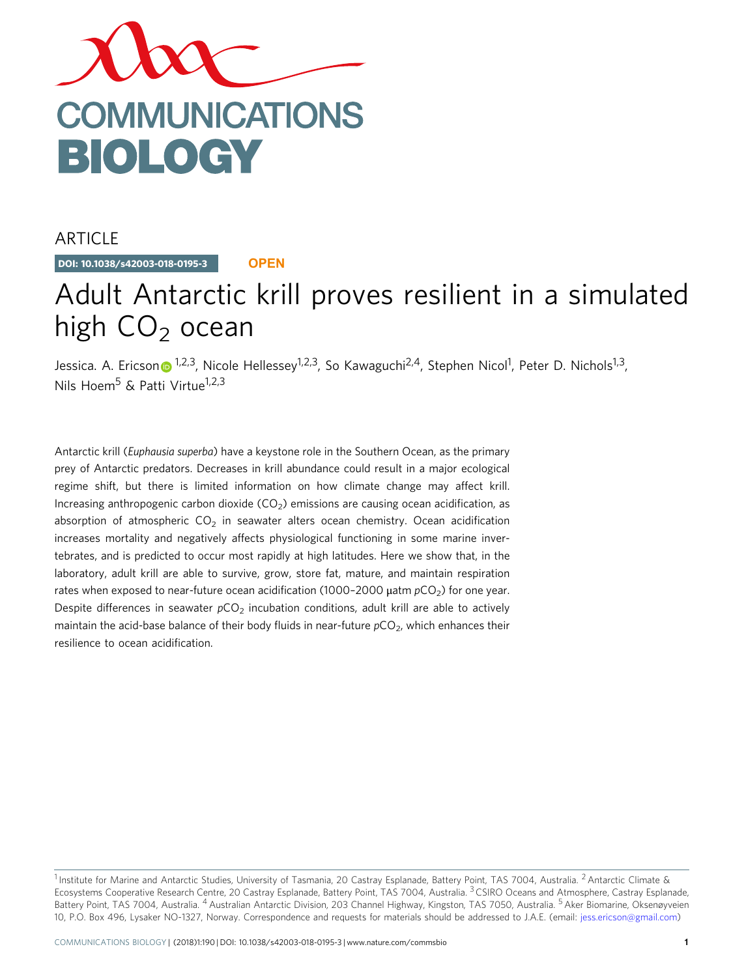

ARTICLE

DOI: 10.1038/s42003-018-0195-3 **OPEN**

# Adult Antarctic krill proves resilient in a simulated high  $CO<sub>2</sub>$  ocean

Jessica. A. Ericso[n](http://orcid.org/0000-0001-5220-8493) n<sup>1,2,3</sup>, Nicole Hellessey<sup>1,2,3</sup>, So Kawaguchi<sup>2,4</sup>, Stephen Nicol<sup>1</sup>, Peter D. Nichols<sup>1,3</sup>, Nils Hoem<sup>5</sup> & Patti Virtue<sup>1,2,3</sup>

Antarctic krill (Euphausia superba) have a keystone role in the Southern Ocean, as the primary prey of Antarctic predators. Decreases in krill abundance could result in a major ecological regime shift, but there is limited information on how climate change may affect krill. Increasing anthropogenic carbon dioxide  $(CO<sub>2</sub>)$  emissions are causing ocean acidification, as absorption of atmospheric  $CO<sub>2</sub>$  in seawater alters ocean chemistry. Ocean acidification increases mortality and negatively affects physiological functioning in some marine invertebrates, and is predicted to occur most rapidly at high latitudes. Here we show that, in the laboratory, adult krill are able to survive, grow, store fat, mature, and maintain respiration rates when exposed to near-future ocean acidification (1000-2000  $\mu$ atm  $pCO<sub>2</sub>$ ) for one year. Despite differences in seawater  $pCO<sub>2</sub>$  incubation conditions, adult krill are able to actively maintain the acid-base balance of their body fluids in near-future  $pCO<sub>2</sub>$ , which enhances their resilience to ocean acidification.

<sup>&</sup>lt;sup>1</sup> Institute for Marine and Antarctic Studies, University of Tasmania, 20 Castray Esplanade, Battery Point, TAS 7004, Australia. <sup>2</sup> Antarctic Climate & Ecosystems Cooperative Research Centre, 20 Castray Esplanade, Battery Point, TAS 7004, Australia.<sup>3</sup> CSIRO Oceans and Atmosphere, Castray Esplanade, Battery Point, TAS 7004, Australia. <sup>4</sup> Australian Antarctic Division, 203 Channel Highway, Kingston, TAS 7050, Australia. <sup>5</sup> Aker Biomarine, Oksenøyveien 10, P.O. Box 496, Lysaker NO-1327, Norway. Correspondence and requests for materials should be addressed to J.A.E. (email: [jess.ericson@gmail.com](mailto:jess.ericson@gmail.com))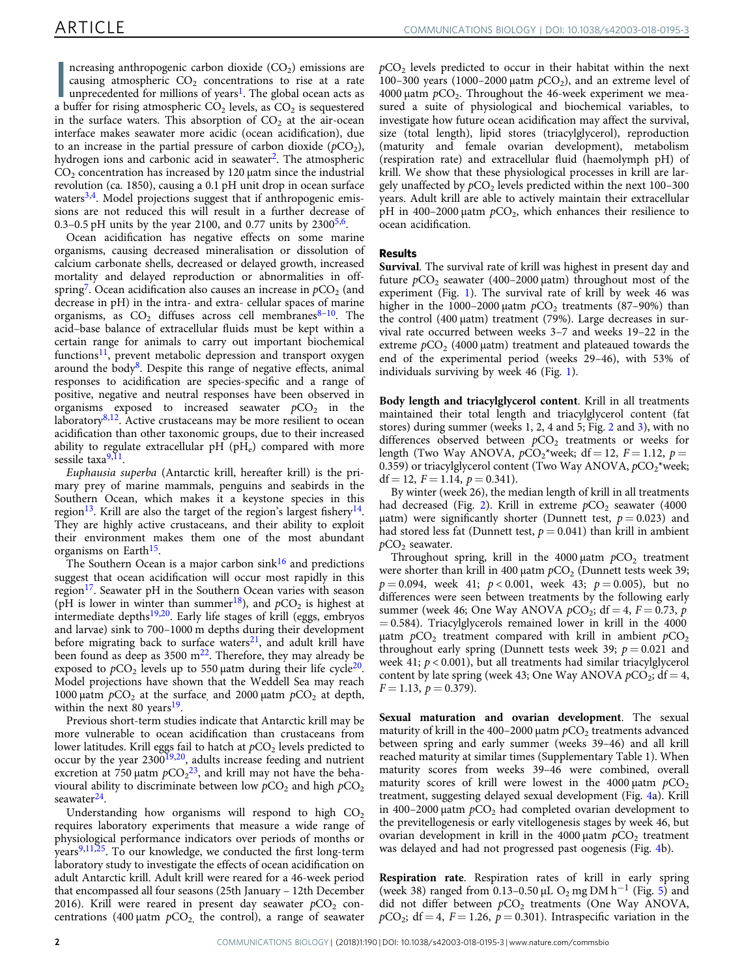ncreasing anthropogenic carbon dioxide  $(CO_2)$  emissions are causing atmospheric  $CO_2$  concentrations to rise at a rate unprecedented for millions of years<sup>1</sup>. The global ocean acts as a buffer for rising atmospheric  $CO_2$ ncreasing anthropogenic carbon dioxide  $(CO<sub>2</sub>)$  emissions are causing atmospheric  $CO<sub>2</sub>$  concentrations to rise at a rate unprecedented for millions of years<sup>[1](#page-7-0)</sup>. The global ocean acts as in the surface waters. This absorption of  $CO<sub>2</sub>$  at the air-ocean interface makes seawater more acidic (ocean acidification), due to an increase in the partial pressure of carbon dioxide  $(pCO<sub>2</sub>)$ , hydrogen ions and carbonic acid in seawater<sup>[2](#page-7-0)</sup>. The atmospheric  $CO<sub>2</sub>$  concentration has increased by 120  $\mu$ atm since the industrial revolution (ca. 1850), causing a 0.1 pH unit drop in ocean surface waters $3,4$ . Model projections suggest that if anthropogenic emissions are not reduced this will result in a further decrease of 0.3–0.5 pH units by the year 2100, and 0.77 units by  $2300^{5,6}$ .

Ocean acidification has negative effects on some marine organisms, causing decreased mineralisation or dissolution of calcium carbonate shells, decreased or delayed growth, increased mortality and delayed reproduction or abnormalities in offspring<sup>7</sup>. Ocean acidification also causes an increase in  $pCO<sub>2</sub>$  (and decrease in pH) in the intra- and extra- cellular spaces of marine organisms, as  $CO<sub>2</sub>$  diffuses across cell membranes<sup>[8](#page-7-0)-10</sup>. The acid–base balance of extracellular fluids must be kept within a certain range for animals to carry out important biochemical functions<sup>[11](#page-7-0)</sup>, prevent metabolic depression and transport oxygen around the body<sup>8</sup>. Despite this range of negative effects, animal responses to acidification are species-specific and a range of positive, negative and neutral responses have been observed in organisms exposed to increased seawater  $pCO<sub>2</sub>$  in the laboratory $8,12$  $8,12$ . Active crustaceans may be more resilient to ocean acidification than other taxonomic groups, due to their increased ability to regulate extracellular  $pH(pH_e)$  compared with more sessile taxa<sup>[9](#page-7-0),11</sup>.

Euphausia superba (Antarctic krill, hereafter krill) is the primary prey of marine mammals, penguins and seabirds in the Southern Ocean, which makes it a keystone species in this region<sup>13</sup>. Krill are also the target of the region's largest fishery<sup>14</sup>. They are highly active crustaceans, and their ability to exploit their environment makes them one of the most abundant organisms on Earth<sup>15</sup>.

The Southern Ocean is a major carbon  $\sin k^{16}$  $\sin k^{16}$  $\sin k^{16}$  and predictions suggest that ocean acidification will occur most rapidly in this region<sup>17</sup>. Seawater pH in the Southern Ocean varies with season (pH is lower in winter than summer<sup>18</sup>), and  $pCO<sub>2</sub>$  is highest at intermediate depths<sup>[19](#page-7-0),[20](#page-7-0)</sup>. Early life stages of krill (eggs, embryos and larvae) sink to 700–1000 m depths during their development before migrating back to surface waters $21$ , and adult krill have been found as deep as  $3500 \text{ m}^{22}$  $3500 \text{ m}^{22}$  $3500 \text{ m}^{22}$ . Therefore, they may already be exposed to  $pCO<sub>2</sub>$  levels up to 550 µatm during their life cycle<sup>20</sup>. Model projections have shown that the Weddell Sea may reach 1000 μatm  $pCO_2$  at the surface, and 2000 μatm  $pCO_2$  at depth, within the next 80 years $19$ .

Previous short-term studies indicate that Antarctic krill may be more vulnerable to ocean acidification than crustaceans from lower latitudes. Krill eggs fail to hatch at  $pCO<sub>2</sub>$  levels predicted to occur by the year  $2300^{19,20}$  $2300^{19,20}$  $2300^{19,20}$ , adults increase feeding and nutrient excretion at 750  $\mu$ atm  $pCO_2^{23}$  $pCO_2^{23}$  $pCO_2^{23}$ , and krill may not have the behavioural ability to discriminate between low  $pCO_2$  and high  $pCO_2$ seawater<sup>[24](#page-7-0)</sup>.

Understanding how organisms will respond to high  $CO<sub>2</sub>$ requires laboratory experiments that measure a wide range of physiological performance indicators over periods of months or years<sup>[9,11,25](#page-7-0)</sup>. To our knowledge, we conducted the first long-term laboratory study to investigate the effects of ocean acidification on adult Antarctic krill. Adult krill were reared for a 46-week period that encompassed all four seasons (25th January – 12th December 2016). Krill were reared in present day seawater  $pCO<sub>2</sub>$  concentrations (400 μatm  $pCO<sub>2</sub>$ , the control), a range of seawater  $pCO<sub>2</sub>$  levels predicted to occur in their habitat within the next 100–300 years (1000–2000  $\mu$ atm  $pCO<sub>2</sub>$ ), and an extreme level of 4000 μatm  $pCO<sub>2</sub>$ . Throughout the 46-week experiment we measured a suite of physiological and biochemical variables, to investigate how future ocean acidification may affect the survival, size (total length), lipid stores (triacylglycerol), reproduction (maturity and female ovarian development), metabolism (respiration rate) and extracellular fluid (haemolymph pH) of krill. We show that these physiological processes in krill are largely unaffected by  $pCO<sub>2</sub>$  levels predicted within the next 100–300 years. Adult krill are able to actively maintain their extracellular pH in 400–2000 μatm  $pCO<sub>2</sub>$ , which enhances their resilience to ocean acidification.

# Results

Survival. The survival rate of krill was highest in present day and future  $pCO_2$  seawater (400–2000  $\mu$ atm) throughout most of the experiment (Fig. [1](#page-2-0)). The survival rate of krill by week 46 was higher in the 1000–2000 μatm  $pCO<sub>2</sub>$  treatments (87–90%) than the control (400 μatm) treatment (79%). Large decreases in survival rate occurred between weeks 3–7 and weeks 19–22 in the extreme  $pCO<sub>2</sub>$  (4000  $\mu$ atm) treatment and plateaued towards the end of the experimental period (weeks 29–46), with 53% of individuals surviving by week 46 (Fig. [1\)](#page-2-0).

Body length and triacylglycerol content. Krill in all treatments maintained their total length and triacylglycerol content (fat stores) during summer (weeks 1, 2, 4 and 5; Fig. [2](#page-2-0) and [3\)](#page-3-0), with no differences observed between  $pCO<sub>2</sub>$  treatments or weeks for length (Two Way ANOVA,  $pCO_2$ <sup>\*</sup>week; df = 12, F = 1.12, p = 0.359) or triacylglycerol content (Two Way ANOVA,  $pCO<sub>2</sub><sup>*</sup>week;$ df = 12,  $F = 1.14$ ,  $p = 0.341$ ).

By winter (week 26), the median length of krill in all treatments had decreased (Fig. [2\)](#page-2-0). Krill in extreme  $pCO<sub>2</sub>$  seawater (4000 μatm) were significantly shorter (Dunnett test,  $p = 0.023$ ) and had stored less fat (Dunnett test,  $p = 0.041$ ) than krill in ambient  $pCO<sub>2</sub>$  seawater.

Throughout spring, krill in the 4000  $\mu$ atm  $pCO<sub>2</sub>$  treatment were shorter than krill in 400  $\mu$ atm  $pCO<sub>2</sub>$  (Dunnett tests week 39;  $p = 0.094$ , week 41;  $p < 0.001$ , week 43;  $p = 0.005$ ), but no differences were seen between treatments by the following early summer (week 46; One Way ANOVA  $pCO_2$ ; df = 4, F = 0.73, p  $= 0.584$ ). Triacylglycerols remained lower in krill in the 4000 μatm  $pCO_2$  treatment compared with krill in ambient  $pCO_2$ throughout early spring (Dunnett tests week 39;  $p = 0.021$  and week 41;  $p < 0.001$ ), but all treatments had similar triacylglycerol content by late spring (week 43; One Way ANOVA  $pCO_2$ ; df = 4,  $F = 1.13, p = 0.379$ .

Sexual maturation and ovarian development. The sexual maturity of krill in the 400–2000 μatm  $pCO<sub>2</sub>$  treatments advanced between spring and early summer (weeks 39–46) and all krill reached maturity at similar times (Supplementary Table 1). When maturity scores from weeks 39–46 were combined, overall maturity scores of krill were lowest in the 4000  $\mu$ atm  $pCO<sub>2</sub>$ treatment, suggesting delayed sexual development (Fig. [4](#page-3-0)a). Krill in 400–2000 μatm  $pCO<sub>2</sub>$  had completed ovarian development to the previtellogenesis or early vitellogenesis stages by week 46, but ovarian development in krill in the 4000  $\mu$ atm  $pCO<sub>2</sub>$  treatment was delayed and had not progressed past oogenesis (Fig. [4](#page-3-0)b).

Respiration rate. Respiration rates of krill in early spring (week 38) ranged from 0.13–0.[5](#page-4-0)0 µL O<sub>2</sub> mg DM h<sup>-1</sup> (Fig. 5) and did not differ between  $pCO<sub>2</sub>$  treatments (One Way ANOVA,  $pCO_2$ ; df = 4, F = 1.26, p = 0.301). Intraspecific variation in the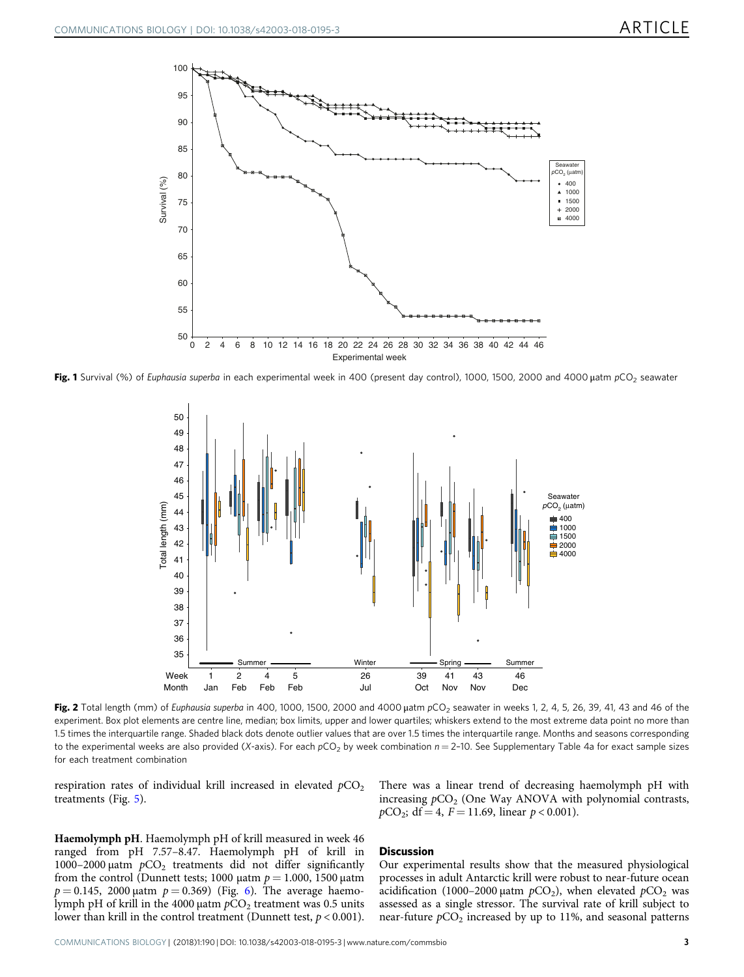<span id="page-2-0"></span>

Fig. 1 Survival (%) of Euphausia superba in each experimental week in 400 (present day control), 1000, 1500, 2000 and 4000 μatm pCO<sub>2</sub> seawater



Fig. 2 Total length (mm) of Euphausia superba in 400, 1000, 1500, 2000 and 4000 uatm pCO<sub>2</sub> seawater in weeks 1, 2, 4, 5, 26, 39, 41, 43 and 46 of the experiment. Box plot elements are centre line, median; box limits, upper and lower quartiles; whiskers extend to the most extreme data point no more than 1.5 times the interquartile range. Shaded black dots denote outlier values that are over 1.5 times the interquartile range. Months and seasons corresponding to the experimental weeks are also provided (X-axis). For each  $pCO<sub>2</sub>$  by week combination  $n = 2$ -10. See Supplementary Table 4a for exact sample sizes for each treatment combination

respiration rates of individual krill increased in elevated  $pCO<sub>2</sub>$ treatments (Fig. [5\)](#page-4-0).

There was a linear trend of decreasing haemolymph pH with increasing  $pCO<sub>2</sub>$  (One Way ANOVA with polynomial contrasts,  $pCO_2$ ; df = 4, F = 11.69, linear  $p < 0.001$ ).

Haemolymph pH. Haemolymph pH of krill measured in week 46 ranged from pH 7.57–8.47. Haemolymph pH of krill in 1000–2000 μatm  $pCO<sub>2</sub>$  treatments did not differ significantly from the control (Dunnett tests; 1000 μatm  $p = 1.000$ , 1500 μatm  $p = 0.145$ , 2000 μatm  $p = 0.369$  $p = 0.369$  $p = 0.369$ ) (Fig. 6). The average haemolymph pH of krill in the 4000 μatm  $pCO<sub>2</sub>$  treatment was 0.5 units lower than krill in the control treatment (Dunnett test,  $p < 0.001$ ).

# **Discussion**

Our experimental results show that the measured physiological processes in adult Antarctic krill were robust to near-future ocean acidification (1000–2000 μatm  $pCO<sub>2</sub>$ ), when elevated  $pCO<sub>2</sub>$  was assessed as a single stressor. The survival rate of krill subject to near-future  $pCO<sub>2</sub>$  increased by up to 11%, and seasonal patterns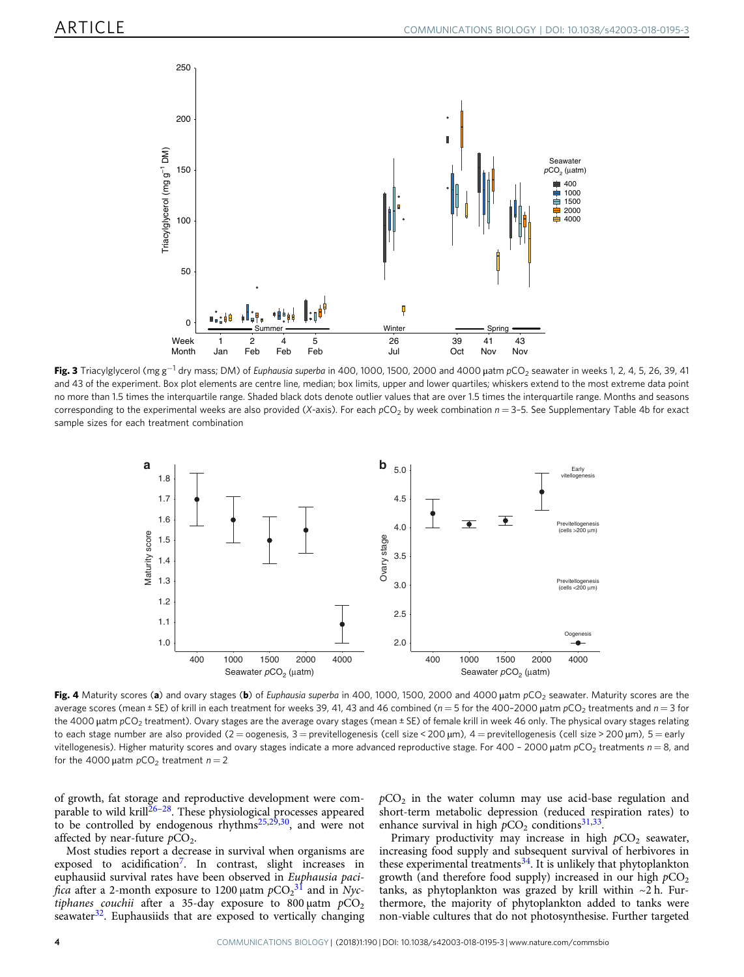<span id="page-3-0"></span>

Fig. 3 Triacylglycerol (mg g<sup>-1</sup> dry mass; DM) of Euphausia superba in 400, 1000, 1500, 2000 and 4000 uatm pCO<sub>2</sub> seawater in weeks 1, 2, 4, 5, 26, 39, 41 and 43 of the experiment. Box plot elements are centre line, median; box limits, upper and lower quartiles; whiskers extend to the most extreme data point no more than 1.5 times the interquartile range. Shaded black dots denote outlier values that are over 1.5 times the interquartile range. Months and seasons corresponding to the experimental weeks are also provided (X-axis). For each  $pCO<sub>2</sub>$  by week combination  $n = 3-5$ . See Supplementary Table 4b for exact sample sizes for each treatment combination



Fig. 4 Maturity scores (a) and ovary stages (b) of Euphausia superba in 400, 1000, 1500, 2000 and 4000 uatm pCO<sub>2</sub> seawater. Maturity scores are the average scores (mean ± SE) of krill in each treatment for weeks 39, 41, 43 and 46 combined ( $n = 5$  for the 400-2000 µatm  $pCO<sub>2</sub>$  treatments and  $n = 3$  for the 4000 μatm pCO<sub>2</sub> treatment). Ovary stages are the average ovary stages (mean ± SE) of female krill in week 46 only. The physical ovary stages relating to each stage number are also provided (2 = oogenesis, 3 = previtellogenesis (cell size < 200 µm), 4 = previtellogenesis (cell size > 200 µm), 5 = early vitellogenesis). Higher maturity scores and ovary stages indicate a more advanced reproductive stage. For 400 - 2000  $\mu$ atm  $pCO_2$  treatments  $n = 8$ , and for the 4000  $\mu$ atm  $pCO_2$  treatment  $n = 2$ 

of growth, fat storage and reproductive development were com-parable to wild krill<sup>[26](#page-7-0)-[28](#page-7-0)</sup>. These physiological processes appeared to be controlled by endogenous rhythms<sup>25,29,30</sup>, and were not affected by near-future  $pCO<sub>2</sub>$ .

Most studies report a decrease in survival when organisms are exposed to acidification<sup>[7](#page-7-0)</sup>. In contrast, slight increases in euphausiid survival rates have been observed in Euphausia paci*fica* after a 2-month exposure to 1200  $\mu$ atm  $pCO_2^{-31}$  $pCO_2^{-31}$  $pCO_2^{-31}$  and in Nyctiphanes couchii after a 35-day exposure to 800  $\mu$ atm  $pCO<sub>2</sub>$ seawater $32$ . Euphausiids that are exposed to vertically changing  $pCO<sub>2</sub>$  in the water column may use acid-base regulation and short-term metabolic depression (reduced respiration rates) to enhance survival in high  $pCO<sub>2</sub>$  conditions<sup>31,33</sup>.

Primary productivity may increase in high  $pCO<sub>2</sub>$  seawater, increasing food supply and subsequent survival of herbivores in these experimental treatments $34$ . It is unlikely that phytoplankton growth (and therefore food supply) increased in our high  $pCO<sub>2</sub>$ tanks, as phytoplankton was grazed by krill within  $\sim$ 2 h. Furthermore, the majority of phytoplankton added to tanks were non-viable cultures that do not photosynthesise. Further targeted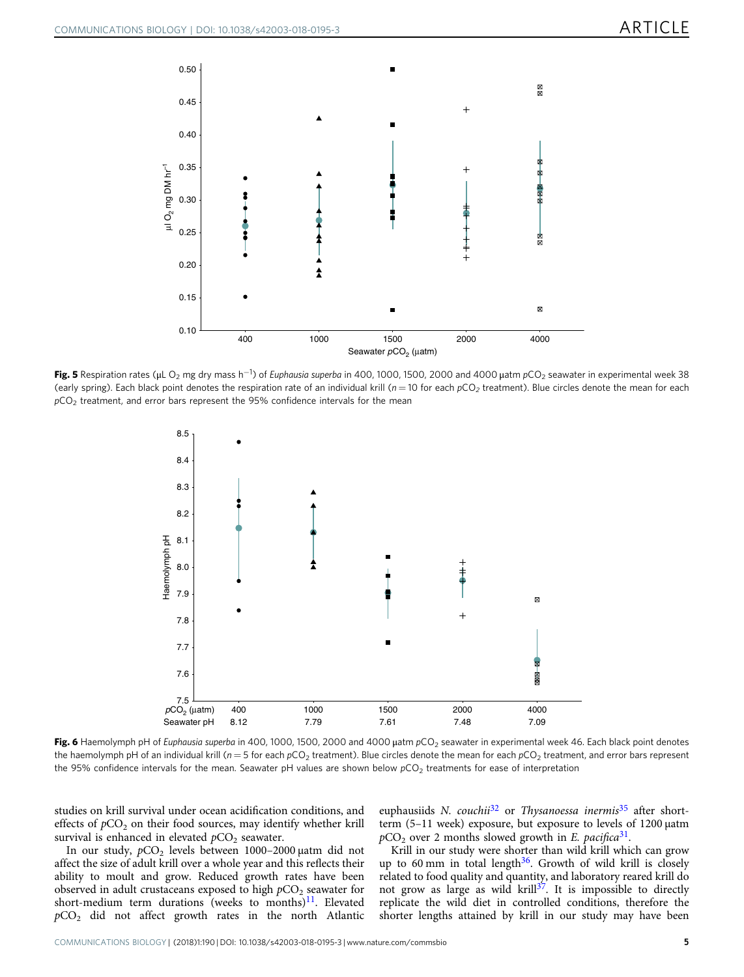<span id="page-4-0"></span>

**Fig. 5** Respiration rates (µL O<sub>2</sub> mg dry mass h<sup>−1</sup>) of *Euphausia superba* in 400, 1000, 1500, 2000 and 4000 µatm pCO<sub>2</sub> seawater in experimental week 38 (early spring). Each black point denotes the respiration rate of an individual krill ( $n = 10$  for each  $pCO_2$  treatment). Blue circles denote the mean for each  $pCO<sub>2</sub>$  treatment, and error bars represent the 95% confidence intervals for the mean



Fig. 6 Haemolymph pH of Euphausia superba in 400, 1000, 1500, 2000 and 4000 μatm pCO<sub>2</sub> seawater in experimental week 46. Each black point denotes the haemolymph pH of an individual krill ( $n = 5$  for each pCO<sub>2</sub> treatment). Blue circles denote the mean for each pCO<sub>2</sub> treatment, and error bars represent the 95% confidence intervals for the mean. Seawater pH values are shown below  $pCO<sub>2</sub>$  treatments for ease of interpretation

studies on krill survival under ocean acidification conditions, and effects of  $pCO<sub>2</sub>$  on their food sources, may identify whether krill survival is enhanced in elevated  $pCO<sub>2</sub>$  seawater.

In our study, pCO<sub>2</sub> levels between 1000-2000 μatm did not affect the size of adult krill over a whole year and this reflects their ability to moult and grow. Reduced growth rates have been observed in adult crustaceans exposed to high  $pCO<sub>2</sub>$  seawater for short-medium term durations (weeks to months) $11$ . Elevated  $pCO<sub>2</sub>$  did not affect growth rates in the north Atlantic

euphausiids N. couchii<sup>[32](#page-7-0)</sup> or Thysanoessa inermis<sup>[35](#page-7-0)</sup> after shortterm (5–11 week) exposure, but exposure to levels of 1200 μatm  $pCO<sub>2</sub>$  over 2 months slowed growth in E. pacifica<sup>[31](#page-7-0)</sup>.

Krill in our study were shorter than wild krill which can grow up to 60 mm in total length $36$ . Growth of wild krill is closely related to food quality and quantity, and laboratory reared krill do not grow as large as wild krill $3^7$ . It is impossible to directly replicate the wild diet in controlled conditions, therefore the shorter lengths attained by krill in our study may have been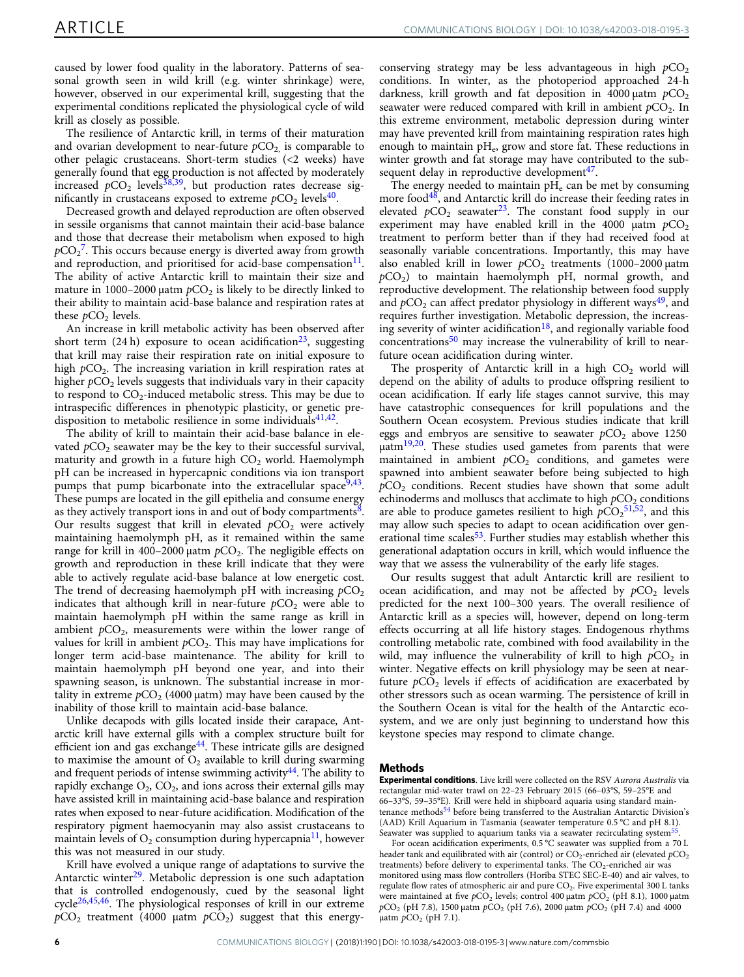caused by lower food quality in the laboratory. Patterns of seasonal growth seen in wild krill (e.g. winter shrinkage) were, however, observed in our experimental krill, suggesting that the experimental conditions replicated the physiological cycle of wild krill as closely as possible.

The resilience of Antarctic krill, in terms of their maturation and ovarian development to near-future  $pCO<sub>2</sub>$  is comparable to other pelagic crustaceans. Short-term studies (<2 weeks) have generally found that egg production is not affected by moderately increased  $pCO_2$  levels<sup>38,39</sup>, but production rates decrease significantly in crustaceans exposed to extreme  $pCO<sub>2</sub>$  levels<sup>[40](#page-8-0)</sup>.

Decreased growth and delayed reproduction are often observed in sessile organisms that cannot maintain their acid-base balance and those that decrease their metabolism when exposed to high  $pCO_2^7$  $pCO_2^7$ . This occurs because energy is diverted away from growth and reproduction, and prioritised for acid-base compensation $11$ . The ability of active Antarctic krill to maintain their size and mature in 1000–2000 μatm  $pCO<sub>2</sub>$  is likely to be directly linked to their ability to maintain acid-base balance and respiration rates at these  $pCO<sub>2</sub>$  levels.

An increase in krill metabolic activity has been observed after short term  $(24 h)$  exposure to ocean acidification<sup>[23](#page-7-0)</sup>, suggesting that krill may raise their respiration rate on initial exposure to high  $pCO<sub>2</sub>$ . The increasing variation in krill respiration rates at higher  $pCO<sub>2</sub>$  levels suggests that individuals vary in their capacity to respond to  $CO<sub>2</sub>$ -induced metabolic stress. This may be due to intraspecific differences in phenotypic plasticity, or genetic predisposition to metabolic resilience in some individuals  $4^{1,42}$ .

The ability of krill to maintain their acid-base balance in elevated  $pCO<sub>2</sub>$  seawater may be the key to their successful survival, maturity and growth in a future high  $CO<sub>2</sub>$  world. Haemolymph pH can be increased in hypercapnic conditions via ion transport pumps that pump bicarbonate into the extracellular space  $9,43$  $9,43$ . These pumps are located in the gill epithelia and consume energy as they actively transport ions in and out of body compartments<sup>8</sup>. Our results suggest that krill in elevated  $pCO<sub>2</sub>$  were actively maintaining haemolymph pH, as it remained within the same range for krill in 400–2000 μatm  $pCO<sub>2</sub>$ . The negligible effects on growth and reproduction in these krill indicate that they were able to actively regulate acid-base balance at low energetic cost. The trend of decreasing haemolymph pH with increasing  $pCO<sub>2</sub>$ indicates that although krill in near-future  $pCO<sub>2</sub>$  were able to maintain haemolymph pH within the same range as krill in ambient  $pCO<sub>2</sub>$ , measurements were within the lower range of values for krill in ambient  $pCO<sub>2</sub>$ . This may have implications for longer term acid-base maintenance. The ability for krill to maintain haemolymph pH beyond one year, and into their spawning season, is unknown. The substantial increase in mortality in extreme  $pCO<sub>2</sub>$  (4000  $\mu$ atm) may have been caused by the inability of those krill to maintain acid-base balance.

Unlike decapods with gills located inside their carapace, Antarctic krill have external gills with a complex structure built for efficient ion and gas exchange $44$ . These intricate gills are designed to maximise the amount of  $O_2$  available to krill during swarming and frequent periods of intense swimming activity<sup>44</sup>. The ability to rapidly exchange  $O_2$ ,  $CO_2$ , and ions across their external gills may have assisted krill in maintaining acid-base balance and respiration rates when exposed to near-future acidification. Modification of the respiratory pigment haemocyanin may also assist crustaceans to maintain levels of  $O_2$  consumption during hypercapnia<sup>11</sup>, however this was not measured in our study.

Krill have evolved a unique range of adaptations to survive the Antarctic winter<sup>29</sup>. Metabolic depression is one such adaptation that is controlled endogenously, cued by the seasonal light cycle[26](#page-7-0)[,45](#page-8-0),[46](#page-8-0). The physiological responses of krill in our extreme  $pCO<sub>2</sub>$  treatment (4000 µatm  $pCO<sub>2</sub>$ ) suggest that this energyconserving strategy may be less advantageous in high  $pCO<sub>2</sub>$ conditions. In winter, as the photoperiod approached 24-h darkness, krill growth and fat deposition in 4000  $\mu$ atm  $pCO<sub>2</sub>$ seawater were reduced compared with krill in ambient  $pCO<sub>2</sub>$ . In this extreme environment, metabolic depression during winter may have prevented krill from maintaining respiration rates high enough to maintain  $pH_e$ , grow and store fat. These reductions in winter growth and fat storage may have contributed to the subsequent delay in reproductive development $47$ .

The energy needed to maintain  $pH_e$  can be met by consuming more food $48$ , and Antarctic krill do increase their feeding rates in elevated  $pCO_2$  seawater<sup>[23](#page-7-0)</sup>. The constant food supply in our experiment may have enabled krill in the 4000 μatm  $pCO<sub>2</sub>$ treatment to perform better than if they had received food at seasonally variable concentrations. Importantly, this may have also enabled krill in lower  $pCO<sub>2</sub>$  treatments (1000–2000 µatm  $pCO<sub>2</sub>$ ) to maintain haemolymph pH, normal growth, and reproductive development. The relationship between food supply and  $pCO_2$  can affect predator physiology in different ways<sup>49</sup>, and requires further investigation. Metabolic depression, the increasing severity of winter acidification<sup>18</sup>, and regionally variable food concentrations<sup>[50](#page-8-0)</sup> may increase the vulnerability of krill to nearfuture ocean acidification during winter.

The prosperity of Antarctic krill in a high  $CO<sub>2</sub>$  world will depend on the ability of adults to produce offspring resilient to ocean acidification. If early life stages cannot survive, this may have catastrophic consequences for krill populations and the Southern Ocean ecosystem. Previous studies indicate that krill eggs and embryos are sensitive to seawater  $pCO<sub>2</sub>$  above 1250  $\mu$ atm $^{19,20}$  $^{19,20}$  $^{19,20}$ . These studies used gametes from parents that were maintained in ambient  $pCO<sub>2</sub>$  conditions, and gametes were spawned into ambient seawater before being subjected to high  $pCO<sub>2</sub>$  conditions. Recent studies have shown that some adult echinoderms and molluscs that acclimate to high  $pCO<sub>2</sub>$  conditions are able to produce gametes resilient to high  $pCO<sub>2</sub>^{51,52}$  $pCO<sub>2</sub>^{51,52}$  $pCO<sub>2</sub>^{51,52}$ , and this may allow such species to adapt to ocean acidification over generational time scales<sup>53</sup>. Further studies may establish whether this generational adaptation occurs in krill, which would influence the way that we assess the vulnerability of the early life stages.

Our results suggest that adult Antarctic krill are resilient to ocean acidification, and may not be affected by  $pCO<sub>2</sub>$  levels predicted for the next 100–300 years. The overall resilience of Antarctic krill as a species will, however, depend on long-term effects occurring at all life history stages. Endogenous rhythms controlling metabolic rate, combined with food availability in the wild, may influence the vulnerability of krill to high  $pCO<sub>2</sub>$  in winter. Negative effects on krill physiology may be seen at nearfuture  $pCO<sub>2</sub>$  levels if effects of acidification are exacerbated by other stressors such as ocean warming. The persistence of krill in the Southern Ocean is vital for the health of the Antarctic ecosystem, and we are only just beginning to understand how this keystone species may respond to climate change.

### Methods

Experimental conditions. Live krill were collected on the RSV Aurora Australis via rectangular mid-water trawl on 22–23 February 2015 (66–03°S, 59–25°E and 66–33°S, 59–35°E). Krill were held in shipboard aquaria using standard main-tenance methods<sup>[54](#page-8-0)</sup> before being transferred to the Australian Antarctic Division's (AAD) Krill Aquarium in Tasmania (seawater temperature 0.5 °C and pH 8.1). Seawater was supplied to aquarium tanks via a seawater recirculating system<sup>[55](#page-8-0)</sup>

For ocean acidification experiments, 0.5 °C seawater was supplied from a 70 L header tank and equilibrated with air (control) or  $CO_2$ -enriched air (elevated  $pCO_2$ treatments) before delivery to experimental tanks. The CO<sub>2</sub>-enriched air was monitored using mass flow controllers (Horiba STEC SEC-E-40) and air valves, to regulate flow rates of atmospheric air and pure  $CO<sub>2</sub>$ . Five experimental 300 L tanks were maintained at five  $pCO<sub>2</sub>$  levels; control 400 μatm  $pCO<sub>2</sub>$  (pH 8.1), 1000 μatm  $pCO<sub>2</sub>$  (pH 7.8), 1500 μatm  $pCO<sub>2</sub>$  (pH 7.6), 2000 μatm  $pCO<sub>2</sub>$  (pH 7.4) and 4000 μatm  $pCO<sub>2</sub>$  (pH 7.1).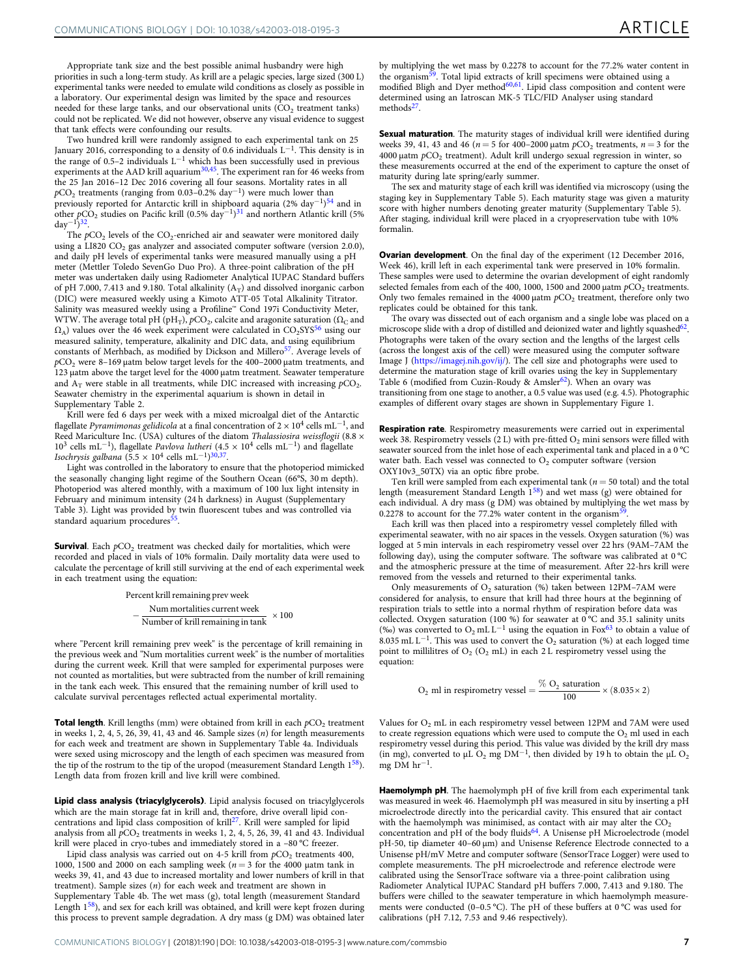Appropriate tank size and the best possible animal husbandry were high priorities in such a long-term study. As krill are a pelagic species, large sized (300 L) experimental tanks were needed to emulate wild conditions as closely as possible in a laboratory. Our experimental design was limited by the space and resources needed for these large tanks, and our observational units  $\overline{CO}_{2}$  treatment tanks) could not be replicated. We did not however, observe any visual evidence to suggest that tank effects were confounding our results.

Two hundred krill were randomly assigned to each experimental tank on 25 January 2016, corresponding to a density of 0.6 individuals L<sup>−</sup>1. This density is in the range of 0.5–2 individuals  $L^{-1}$  which has been successfully used in previous experiments at the AAD krill aquarium<sup>[30,](#page-7-0)45</sup>. The experiment ran for 46 weeks from the 25 Jan 2016–12 Dec 2016 covering all four seasons. Mortality rates in all  $pCO<sub>2</sub>$  treatments (ranging from 0.03–0.2% day<sup>-1</sup>) were much lower than previously reported for Antarctic krill in shipboard aquaria (2% day<sup>−</sup>1[\)54](#page-8-0) and in other  $pCO_2$  studies on Pacific krill (0.5% day<sup>-1</sup>)<sup>31</sup> and northern Atlantic krill (5% day<sup>-1</sup>)<sup>32</sup>.

The  $pCO<sub>2</sub>$  levels of the  $CO<sub>2</sub>$ -enriched air and seawater were monitored daily using a LI820  $CO<sub>2</sub>$  gas analyzer and associated computer software (version 2.0.0), and daily pH levels of experimental tanks were measured manually using a pH meter (Mettler Toledo SevenGo Duo Pro). A three-point calibration of the pH meter was undertaken daily using Radiometer Analytical IUPAC Standard buffers of pH 7.000, 7.413 and 9.180. Total alkalinity  $(A_T)$  and dissolved inorganic carbon (DIC) were measured weekly using a Kimoto ATT-05 Total Alkalinity Titrator. Salinity was measured weekly using a Profiline™ Cond 197i Conductivity Meter, WTW. The average total pH  $\rm (pH_T), \bar pCO_2,$  calcite and aragonite saturation ( $\Omega_C$  and  $\Omega_A$ ) values over the 46 week experiment were calculated in CO<sub>2</sub>SYS<sup>[56](#page-8-0)</sup> using our measured salinity, temperature, alkalinity and DIC data, and using equilibrium constants of Merhbach, as modified by Dickson and Millero<sup>[57](#page-8-0)</sup>. Average levels of  $pCO<sub>2</sub>$  were 8-169 μatm below target levels for the 400-2000 μatm treatments, and 123 μatm above the target level for the 4000 μatm treatment. Seawater temperature and  $A_T$  were stable in all treatments, while DIC increased with increasing  $pCO_2$ . Seawater chemistry in the experimental aquarium is shown in detail in Supplementary Table 2.

Krill were fed 6 days per week with a mixed microalgal diet of the Antarctic flagellate Pyramimonas gelidicola at a final concentration of  $2 \times 10^4$  cells mL<sup>-1</sup>, and Reed Mariculture Inc. (USA) cultures of the diatom Thalassiosira weissflogii (8.8 × 103 cells mL<sup>−</sup>1), flagellate Pavlova lutheri (4.5 × 104 cells mL<sup>−</sup>1) and flagellate Isochrysis galbana (5.5 × 10<sup>4</sup> cells mL<sup>-1</sup>)<sup>[30](#page-7-0),[37](#page-7-0)</sup>.

Light was controlled in the laboratory to ensure that the photoperiod mimicked the seasonally changing light regime of the Southern Ocean (66°S, 30 m depth). Photoperiod was altered monthly, with a maximum of 100 lux light intensity in February and minimum intensity (24 h darkness) in August (Supplementary Table 3). Light was provided by twin fluorescent tubes and was controlled via standard aquarium procedures<sup>[55](#page-8-0)</sup>.

**Survival**. Each  $pCO<sub>2</sub>$  treatment was checked daily for mortalities, which were recorded and placed in vials of 10% formalin. Daily mortality data were used to calculate the percentage of krill still surviving at the end of each experimental week in each treatment using the equation:

> Percent krill remaining prev week  $-\frac{\text{Num mortality}}{\text{Number of krill remaining in tank}} \times 100$

where "Percent krill remaining prev week" is the percentage of krill remaining in the previous week and "Num mortalities current week" is the number of mortalities during the current week. Krill that were sampled for experimental purposes were not counted as mortalities, but were subtracted from the number of krill remaining in the tank each week. This ensured that the remaining number of krill used to calculate survival percentages reflected actual experimental mortality.

Total length. Krill lengths (mm) were obtained from krill in each  $pCO<sub>2</sub>$  treatment in weeks  $1, 2, 4, 5, 26, 39, 41, 43$  and 46. Sample sizes  $(n)$  for length measurements for each week and treatment are shown in Supplementary Table 4a. Individuals were sexed using microscopy and the length of each specimen was measured from the tip of the rostrum to the tip of the uropod (measurement Standard Length 1[58](#page-8-0)). Length data from frozen krill and live krill were combined.

Lipid class analysis (triacylglycerols). Lipid analysis focused on triacylglycerols which are the main storage fat in krill and, therefore, drive overall lipid con-centrations and lipid class composition of krill<sup>[27](#page-7-0)</sup>. Krill were sampled for lipid analysis from all  $pCO<sub>2</sub>$  treatments in weeks 1, 2, 4, 5, 26, 39, 41 and 43. Individual krill were placed in cryo-tubes and immediately stored in a -80 °C freezer.

Lipid class analysis was carried out on 4-5 krill from  $pCO<sub>2</sub>$  treatments 400, 1000, 1500 and 2000 on each sampling week ( $n = 3$  for the 4000 µatm tank in weeks 39, 41, and 43 due to increased mortality and lower numbers of krill in that treatment). Sample sizes (n) for each week and treatment are shown in Supplementary Table 4b. The wet mass (g), total length (measurement Standard Length [158\)](#page-8-0), and sex for each krill was obtained, and krill were kept frozen during this process to prevent sample degradation. A dry mass (g DM) was obtained later

by multiplying the wet mass by 0.2278 to account for the 77.2% water content in<br>the organism<sup>[59](#page-8-0)</sup>. Total lipid extracts of krill specimens were obtained using a<br>modified Bligh and Dyer method<sup>60,61</sup>. Lipid class composition determined using an Iatroscan MK-5 TLC/FID Analyser using standard methods<sup>27</sup>.

Sexual maturation. The maturity stages of individual krill were identified during weeks 39, 41, 43 and 46 ( $n = 5$  for 400–2000 μatm  $pCO_2$  treatments,  $n = 3$  for the  $4000$  μatm  $pCO<sub>2</sub>$  treatment). Adult krill undergo sexual regression in winter, so these measurements occurred at the end of the experiment to capture the onset of maturity during late spring/early summer.

The sex and maturity stage of each krill was identified via microscopy (using the staging key in Supplementary Table 5). Each maturity stage was given a maturity score with higher numbers denoting greater maturity (Supplementary Table 5). After staging, individual krill were placed in a cryopreservation tube with 10% formalin.

Ovarian development. On the final day of the experiment (12 December 2016, Week 46), krill left in each experimental tank were preserved in 10% formalin. These samples were used to determine the ovarian development of eight randomly selected females from each of the 400, 1000, 1500 and 2000  $\mu$ atm  $pCO<sub>2</sub>$  treatments. Only two females remained in the  $4000 \mu$ atm  $pCO<sub>2</sub>$  treatment, therefore only two replicates could be obtained for this tank.

The ovary was dissected out of each organism and a single lobe was placed on a microscope slide with a drop of distilled and deionized water and lightly squashed $62$ . Photographs were taken of the ovary section and the lengths of the largest cells (across the longest axis of the cell) were measured using the computer software Image J ([https://imagej.nih.gov/ij/\)](https://imagej.nih.gov/ij/). The cell size and photographs were used to determine the maturation stage of krill ovaries using the key in Supplementary Table 6 (modified from Cuzin-Roudy & Amsler<sup>62</sup>). When an ovary was transitioning from one stage to another, a 0.5 value was used (e.g. 4.5). Photographic examples of different ovary stages are shown in Supplementary Figure 1.

Respiration rate. Respirometry measurements were carried out in experimental week 38. Respirometry vessels (2 L) with pre-fitted  $O_2$  mini sensors were filled with seawater sourced from the inlet hose of each experimental tank and placed in a 0 °C water bath. Each vessel was connected to  $O<sub>2</sub>$  computer software (version OXY10v3\_50TX) via an optic fibre probe.

Ten krill were sampled from each experimental tank ( $n = 50$  total) and the total length (measurement Standard Length  $1^{58}$  $1^{58}$  $1^{58}$ ) and wet mass (g) were obtained for each individual. A dry mass (g DM) was obtained by multiplying the wet mass by  $0.2278$  to account for the  $77.2\%$  water content in the organism

Each krill was then placed into a respirometry vessel completely filled with experimental seawater, with no air spaces in the vessels. Oxygen saturation (%) was logged at 5 min intervals in each respirometry vessel over 22 hrs (9AM–7AM the following day), using the computer software. The software was calibrated at 0 °C and the atmospheric pressure at the time of measurement. After 22-hrs krill were removed from the vessels and returned to their experimental tanks.

Only measurements of  $O_2$  saturation (%) taken between 12PM-7AM were considered for analysis, to ensure that krill had three hours at the beginning of respiration trials to settle into a normal rhythm of respiration before data was collected. Oxygen saturation (100 %) for seawater at  $0^{\circ}$ C and 35.1 salinity units (‰) was converted to  $O_2$  mL L<sup>-1</sup> using the equation in Fox<sup>[63](#page-8-0)</sup> to obtain a value of  $8.035\,\mathrm{mL}\,\mathrm{L}^{-1}.$  This was used to convert the  $\mathrm{O}_2$  saturation (%) at each logged time point to millilitres of  $O_2$  ( $O_2$  mL) in each 2 L respirometry vessel using the equation:

O<sub>2</sub> ml in respiratory vessel = 
$$
\frac{\% \text{ O}_2 \text{ saturation}}{100} \times (8.035 \times 2)
$$

Values for  $O_2$  mL in each respirometry vessel between 12PM and 7AM were used to create regression equations which were used to compute the  $O<sub>2</sub>$  ml used in each respirometry vessel during this period. This value was divided by the krill dry mass (in mg), converted to μL O<sub>2</sub> mg DM<sup>-1</sup>, then divided by 19 h to obtain the μL O<sub>2</sub> mg DM hr<sup>−</sup>1.

Haemolymph pH. The haemolymph pH of five krill from each experimental tank was measured in week 46. Haemolymph pH was measured in situ by inserting a pH microelectrode directly into the pericardial cavity. This ensured that air contact with the haemolymph was minimised, as contact with air may alter the  $CO<sub>2</sub>$ concentration and pH of the body fluids<sup>64</sup>. A Unisense pH Microelectrode (model pH-50, tip diameter 40-60 µm) and Unisense Reference Electrode connected to a Unisense pH/mV Metre and computer software (SensorTrace Logger) were used to complete measurements. The pH microelectrode and reference electrode were calibrated using the SensorTrace software via a three-point calibration using Radiometer Analytical IUPAC Standard pH buffers 7.000, 7.413 and 9.180. The buffers were chilled to the seawater temperature in which haemolymph measurements were conducted (0–0.5 °C). The pH of these buffers at 0 °C was used for calibrations (pH 7.12, 7.53 and 9.46 respectively).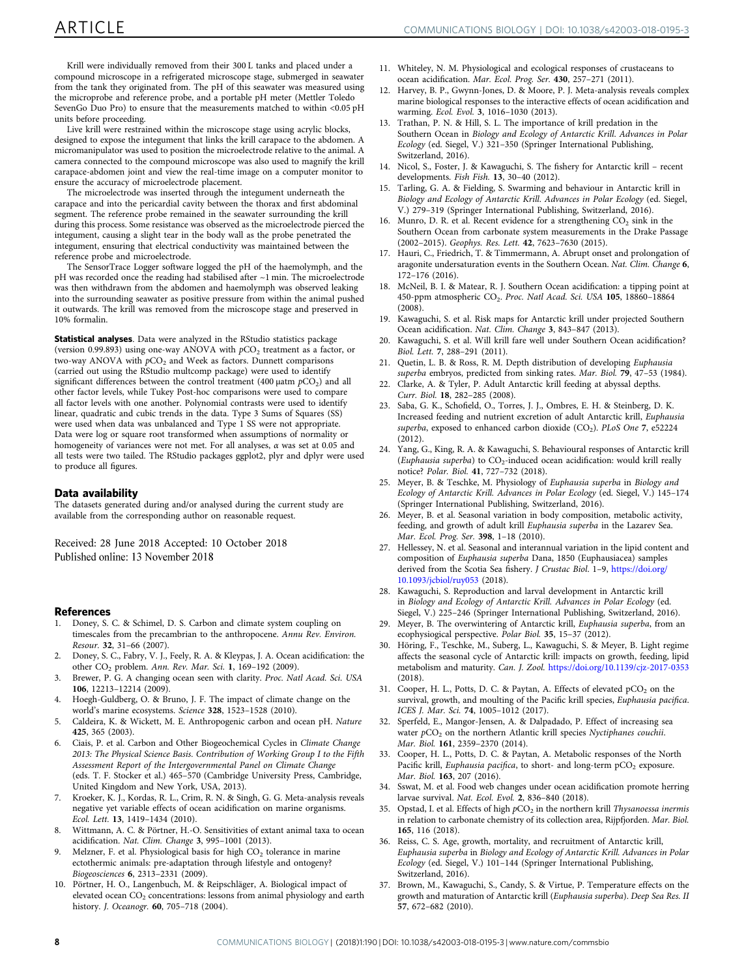<span id="page-7-0"></span>Krill were individually removed from their 300 L tanks and placed under a compound microscope in a refrigerated microscope stage, submerged in seawater from the tank they originated from. The pH of this seawater was measured using the microprobe and reference probe, and a portable pH meter (Mettler Toledo SevenGo Duo Pro) to ensure that the measurements matched to within <0.05 pH units before proceeding.

Live krill were restrained within the microscope stage using acrylic blocks, designed to expose the integument that links the krill carapace to the abdomen. A micromanipulator was used to position the microelectrode relative to the animal. A camera connected to the compound microscope was also used to magnify the krill carapace-abdomen joint and view the real-time image on a computer monitor to ensure the accuracy of microelectrode placement.

The microelectrode was inserted through the integument underneath the carapace and into the pericardial cavity between the thorax and first abdominal segment. The reference probe remained in the seawater surrounding the krill during this process. Some resistance was observed as the microelectrode pierced the integument, causing a slight tear in the body wall as the probe penetrated the integument, ensuring that electrical conductivity was maintained between the reference probe and microelectrode.

The SensorTrace Logger software logged the pH of the haemolymph, and the pH was recorded once the reading had stabilised after ~1 min. The microelectrode was then withdrawn from the abdomen and haemolymph was observed leaking into the surrounding seawater as positive pressure from within the animal pushed it outwards. The krill was removed from the microscope stage and preserved in 10% formalin.

Statistical analyses. Data were analyzed in the RStudio statistics package (version 0.99.893) using one-way ANOVA with  $pCO<sub>2</sub>$  treatment as a factor, or two-way ANOVA with  $pCO<sub>2</sub>$  and Week as factors. Dunnett comparisons (carried out using the RStudio multcomp package) were used to identify significant differences between the control treatment (400  $\mu$ atm  $pCO<sub>2</sub>$ ) and all other factor levels, while Tukey Post-hoc comparisons were used to compare all factor levels with one another. Polynomial contrasts were used to identify linear, quadratic and cubic trends in the data. Type 3 Sums of Squares (SS) were used when data was unbalanced and Type 1 SS were not appropriate. Data were log or square root transformed when assumptions of normality or homogeneity of variances were not met. For all analyses,  $\alpha$  was set at 0.05 and all tests were two tailed. The RStudio packages ggplot2, plyr and dplyr were used to produce all figures.

## Data availability

The datasets generated during and/or analysed during the current study are available from the corresponding author on reasonable request.

Received: 28 June 2018 Accepted: 10 October 2018 Published online: 13 November 2018

### References

- 1. Doney, S. C. & Schimel, D. S. Carbon and climate system coupling on timescales from the precambrian to the anthropocene. Annu Rev. Environ. Resour. 32, 31–66 (2007).
- 2. Doney, S. C., Fabry, V. J., Feely, R. A. & Kleypas, J. A. Ocean acidification: the other CO<sub>2</sub> problem. Ann. Rev. Mar. Sci. 1, 169-192 (2009).
- 3. Brewer, P. G. A changing ocean seen with clarity. Proc. Natl Acad. Sci. USA 106, 12213–12214 (2009).
- 4. Hoegh-Guldberg, O. & Bruno, J. F. The impact of climate change on the world's marine ecosystems. Science 328, 1523–1528 (2010).
- 5. Caldeira, K. & Wickett, M. E. Anthropogenic carbon and ocean pH. Nature 425, 365 (2003).
- 6. Ciais, P. et al. Carbon and Other Biogeochemical Cycles in Climate Change 2013: The Physical Science Basis. Contribution of Working Group I to the Fifth Assessment Report of the Intergovernmental Panel on Climate Change (eds. T. F. Stocker et al.) 465–570 (Cambridge University Press, Cambridge, United Kingdom and New York, USA, 2013).
- 7. Kroeker, K. J., Kordas, R. L., Crim, R. N. & Singh, G. G. Meta-analysis reveals negative yet variable effects of ocean acidification on marine organisms. Ecol. Lett. 13, 1419–1434 (2010).
- 8. Wittmann, A. C. & Pörtner, H.-O. Sensitivities of extant animal taxa to ocean acidification. Nat. Clim. Change 3, 995–1001 (2013).
- Melzner, F. et al. Physiological basis for high  $CO<sub>2</sub>$  tolerance in marine ectothermic animals: pre-adaptation through lifestyle and ontogeny? Biogeosciences 6, 2313–2331 (2009).
- 10. Pörtner, H. O., Langenbuch, M. & Reipschläger, A. Biological impact of elevated ocean CO<sub>2</sub> concentrations: lessons from animal physiology and earth history. J. Oceanogr. 60, 705–718 (2004).
- 11. Whiteley, N. M. Physiological and ecological responses of crustaceans to ocean acidification. Mar. Ecol. Prog. Ser. 430, 257–271 (2011).
- 12. Harvey, B. P., Gwynn-Jones, D. & Moore, P. J. Meta-analysis reveals complex marine biological responses to the interactive effects of ocean acidification and warming. Ecol. Evol. 3, 1016–1030 (2013).
- 13. Trathan, P. N. & Hill, S. L. The importance of krill predation in the Southern Ocean in Biology and Ecology of Antarctic Krill. Advances in Polar Ecology (ed. Siegel, V.) 321–350 (Springer International Publishing, Switzerland, 2016).
- 14. Nicol, S., Foster, J. & Kawaguchi, S. The fishery for Antarctic krill recent developments. Fish Fish. 13, 30–40 (2012).
- 15. Tarling, G. A. & Fielding, S. Swarming and behaviour in Antarctic krill in Biology and Ecology of Antarctic Krill. Advances in Polar Ecology (ed. Siegel, V.) 279–319 (Springer International Publishing, Switzerland, 2016).
- 16. Munro, D. R. et al. Recent evidence for a strengthening  $CO<sub>2</sub>$  sink in the Southern Ocean from carbonate system measurements in the Drake Passage (2002–2015). Geophys. Res. Lett. 42, 7623–7630 (2015).
- 17. Hauri, C., Friedrich, T. & Timmermann, A. Abrupt onset and prolongation of aragonite undersaturation events in the Southern Ocean. Nat. Clim. Change 6, 172–176 (2016).
- 18. McNeil, B. I. & Matear, R. J. Southern Ocean acidification: a tipping point at 450-ppm atmospheric CO2. Proc. Natl Acad. Sci. USA 105, 18860–18864  $(2008)$
- 19. Kawaguchi, S. et al. Risk maps for Antarctic krill under projected Southern Ocean acidification. Nat. Clim. Change 3, 843–847 (2013).
- 20. Kawaguchi, S. et al. Will krill fare well under Southern Ocean acidification? Biol. Lett. 7, 288–291 (2011).
- 21. Quetin, L. B. & Ross, R. M. Depth distribution of developing Euphausia superba embryos, predicted from sinking rates. Mar. Biol. 79, 47–53 (1984).
- 22. Clarke, A. & Tyler, P. Adult Antarctic krill feeding at abyssal depths. Curr. Biol. 18, 282–285 (2008).
- 23. Saba, G. K., Schofield, O., Torres, J. J., Ombres, E. H. & Steinberg, D. K. Increased feeding and nutrient excretion of adult Antarctic krill, Euphausia superba, exposed to enhanced carbon dioxide  $(CO_2)$ . PLoS One 7, e52224 (2012).
- 24. Yang, G., King, R. A. & Kawaguchi, S. Behavioural responses of Antarctic krill (Euphausia superba) to  $CO_2$ -induced ocean acidification: would krill really notice? Polar. Biol. 41, 727–732 (2018).
- 25. Meyer, B. & Teschke, M. Physiology of Euphausia superba in Biology and Ecology of Antarctic Krill. Advances in Polar Ecology (ed. Siegel, V.) 145–174 (Springer International Publishing, Switzerland, 2016).
- 26. Meyer, B. et al. Seasonal variation in body composition, metabolic activity, feeding, and growth of adult krill Euphausia superba in the Lazarev Sea. Mar. Ecol. Prog. Ser. 398, 1–18 (2010).
- 27. Hellessey, N. et al. Seasonal and interannual variation in the lipid content and composition of Euphausia superba Dana, 1850 (Euphausiacea) samples derived from the Scotia Sea fishery. J Crustac Biol. 1–9, [https://doi.org/](https://doi.org/10.1093/jcbiol/ruy053) [10.1093/jcbiol/ruy053](https://doi.org/10.1093/jcbiol/ruy053) (2018).
- 28. Kawaguchi, S. Reproduction and larval development in Antarctic krill in Biology and Ecology of Antarctic Krill. Advances in Polar Ecology (ed. Siegel, V.) 225–246 (Springer International Publishing, Switzerland, 2016).
- 29. Meyer, B. The overwintering of Antarctic krill, Euphausia superba, from an ecophysiogical perspective. Polar Biol. 35, 15–37 (2012).
- 30. Höring, F., Teschke, M., Suberg, L., Kawaguchi, S. & Meyer, B. Light regime affects the seasonal cycle of Antarctic krill: impacts on growth, feeding, lipid metabolism and maturity. Can. J. Zool. <https://doi.org/10.1139/cjz-2017-0353> (2018).
- 31. Cooper, H. L., Potts, D. C. & Paytan, A. Effects of elevated pCO<sub>2</sub> on the survival, growth, and moulting of the Pacific krill species, Euphausia pacifica. ICES J. Mar. Sci. 74, 1005–1012 (2017).
- 32. Sperfeld, E., Mangor-Jensen, A. & Dalpadado, P. Effect of increasing sea water  $pCO<sub>2</sub>$  on the northern Atlantic krill species Nyctiphanes couchii. Mar. Biol. 161, 2359–2370 (2014).
- 33. Cooper, H. L., Potts, D. C. & Paytan, A. Metabolic responses of the North Pacific krill, Euphausia pacifica, to short- and long-term pCO<sub>2</sub> exposure. Mar. Biol. 163, 207 (2016).
- 34. Sswat, M. et al. Food web changes under ocean acidification promote herring larvae survival. Nat. Ecol. Evol. 2, 836–840 (2018).
- 35. Opstad, I. et al. Effects of high  $pCO<sub>2</sub>$  in the northern krill Thysanoessa inermis in relation to carbonate chemistry of its collection area, Rijpfjorden. Mar. Biol. 165, 116 (2018).
- 36. Reiss, C. S. Age, growth, mortality, and recruitment of Antarctic krill, Euphausia superba in Biology and Ecology of Antarctic Krill. Advances in Polar Ecology (ed. Siegel, V.) 101–144 (Springer International Publishing, Switzerland, 2016).
- 37. Brown, M., Kawaguchi, S., Candy, S. & Virtue, P. Temperature effects on the growth and maturation of Antarctic krill (Euphausia superba). Deep Sea Res. II 57, 672–682 (2010).